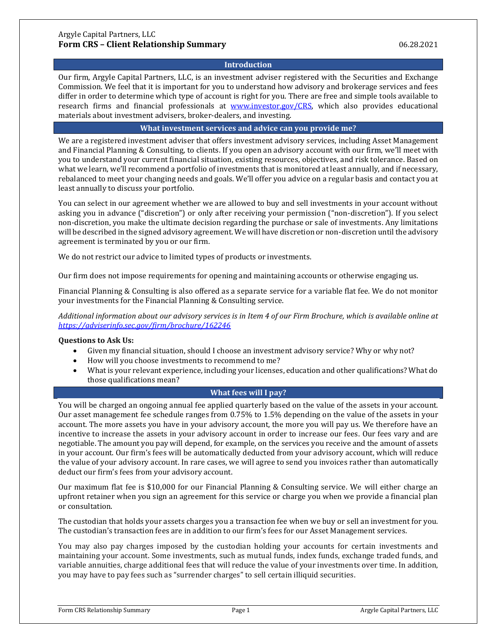# **Introduction**

Our firm, Argyle Capital Partners, LLC, is an investment adviser registered with the Securities and Exchange Commission. We feel that it is important for you to understand how advisory and brokerage services and fees differ in order to determine which type of account is right for you. There are free and simple tools available to research firms and financial professionals at [www.investor.gov/CRS,](http://www.investor.gov/CRS) which also provides educational materials about investment advisers, broker-dealers, and investing.

## **What investment services and advice can you provide me?**

We are a registered investment adviser that offers investment advisory services, including Asset Management and Financial Planning & Consulting, to clients. If you open an advisory account with our firm, we'll meet with you to understand your current financial situation, existing resources, objectives, and risk tolerance. Based on what we learn, we'll recommend a portfolio of investments that is monitored at least annually, and if necessary, rebalanced to meet your changing needs and goals. We'll offer you advice on a regular basis and contact you at least annually to discuss your portfolio.

You can select in our agreement whether we are allowed to buy and sell investments in your account without asking you in advance ("discretion") or only after receiving your permission ("non-discretion"). If you select non-discretion, you make the ultimate decision regarding the purchase or sale of investments. Any limitations will be described in the signed advisory agreement. We will have discretion or non-discretion until the advisory agreement is terminated by you or our firm.

We do not restrict our advice to limited types of products or investments.

Our firm does not impose requirements for opening and maintaining accounts or otherwise engaging us.

Financial Planning & Consulting is also offered as a separate service for a variable flat fee. We do not monitor your investments for the Financial Planning & Consulting service.

*Additional information about our advisory services is in Item 4 of our Firm Brochure, which is available online at <https://adviserinfo.sec.gov/firm/brochure/162246>*

## **Questions to Ask Us:**

- Given my financial situation, should I choose an investment advisory service? Why or why not?
- How will you choose investments to recommend to me?
- What is your relevant experience, including your licenses, education and other qualifications? What do those qualifications mean?

# **What fees will I pay?**

You will be charged an ongoing annual fee applied quarterly based on the value of the assets in your account. Our asset management fee schedule ranges from 0.75% to 1.5% depending on the value of the assets in your account. The more assets you have in your advisory account, the more you will pay us. We therefore have an incentive to increase the assets in your advisory account in order to increase our fees. Our fees vary and are negotiable. The amount you pay will depend, for example, on the services you receive and the amount of assets in your account. Our firm's fees will be automatically deducted from your advisory account, which will reduce the value of your advisory account. In rare cases, we will agree to send you invoices rather than automatically deduct our firm's fees from your advisory account.

Our maximum flat fee is \$10,000 for our Financial Planning & Consulting service. We will either charge an upfront retainer when you sign an agreement for this service or charge you when we provide a financial plan or consultation.

The custodian that holds your assets charges you a transaction fee when we buy or sell an investment for you. The custodian's transaction fees are in addition to our firm's fees for our Asset Management services.

You may also pay charges imposed by the custodian holding your accounts for certain investments and maintaining your account. Some investments, such as mutual funds, index funds, exchange traded funds, and variable annuities, charge additional fees that will reduce the value of your investments over time. In addition, you may have to pay fees such as "surrender charges" to sell certain illiquid securities.